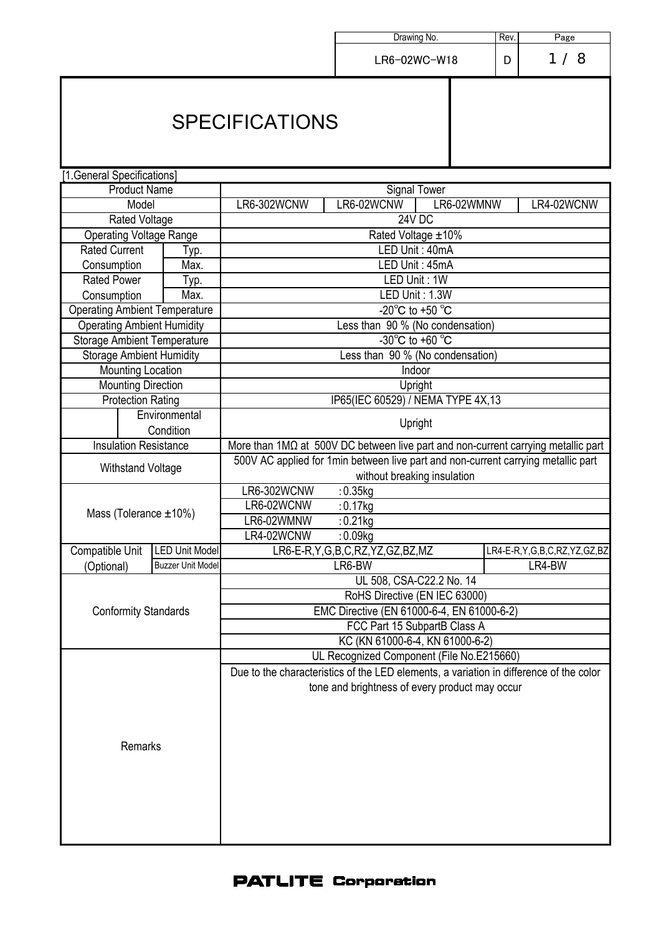|                                                             |                          |                                                                                        |                                                                                             | Rev. |                             |  |  |  |
|-------------------------------------------------------------|--------------------------|----------------------------------------------------------------------------------------|---------------------------------------------------------------------------------------------|------|-----------------------------|--|--|--|
|                                                             |                          |                                                                                        | Drawing No.                                                                                 | Page |                             |  |  |  |
|                                                             |                          |                                                                                        | LR6-02WC-W18                                                                                | D    | 1/8                         |  |  |  |
|                                                             |                          | <b>SPECIFICATIONS</b>                                                                  |                                                                                             |      |                             |  |  |  |
| [1.General Specifications]                                  |                          |                                                                                        |                                                                                             |      |                             |  |  |  |
| <b>Product Name</b>                                         |                          |                                                                                        | <b>Signal Tower</b>                                                                         |      |                             |  |  |  |
| Model                                                       |                          | LR6-02WCNW<br>LR6-302WCNW<br>LR6-02WMNW<br>LR4-02WCNW                                  |                                                                                             |      |                             |  |  |  |
| <b>Rated Voltage</b>                                        |                          |                                                                                        | 24V DC                                                                                      |      |                             |  |  |  |
| <b>Operating Voltage Range</b>                              |                          | Rated Voltage ±10%                                                                     |                                                                                             |      |                             |  |  |  |
| <b>Rated Current</b>                                        | Typ.                     |                                                                                        | LED Unit: 40mA                                                                              |      |                             |  |  |  |
| Consumption                                                 | Max.                     |                                                                                        | LED Unit: 45mA                                                                              |      |                             |  |  |  |
| <b>Rated Power</b>                                          | Typ.                     |                                                                                        | LED Unit: 1W                                                                                |      |                             |  |  |  |
| Consumption                                                 | Max.                     |                                                                                        | LED Unit: 1.3W                                                                              |      |                             |  |  |  |
| <b>Operating Ambient Temperature</b>                        |                          |                                                                                        | $-20^{\circ}$ C to $+50^{\circ}$ C                                                          |      |                             |  |  |  |
| <b>Operating Ambient Humidity</b>                           |                          |                                                                                        | Less than 90 % (No condensation)                                                            |      |                             |  |  |  |
| <b>Storage Ambient Temperature</b>                          |                          |                                                                                        | $-30^{\circ}$ C to +60 $^{\circ}$ C                                                         |      |                             |  |  |  |
| <b>Storage Ambient Humidity</b><br><b>Mounting Location</b> |                          | Less than 90 % (No condensation)<br>Indoor                                             |                                                                                             |      |                             |  |  |  |
|                                                             |                          | Upright                                                                                |                                                                                             |      |                             |  |  |  |
| <b>Mounting Direction</b><br><b>Protection Rating</b>       |                          |                                                                                        | IP65(IEC 60529) / NEMA TYPE 4X,13                                                           |      |                             |  |  |  |
|                                                             | Environmental            |                                                                                        |                                                                                             |      |                             |  |  |  |
|                                                             | Condition                |                                                                                        | Upright                                                                                     |      |                             |  |  |  |
| <b>Insulation Resistance</b>                                |                          |                                                                                        | $M$ ore than $1M\Omega$ at 500V DC between live part and non-current carrying metallic part |      |                             |  |  |  |
|                                                             |                          |                                                                                        | 500V AC applied for 1min between live part and non-current carrying metallic part           |      |                             |  |  |  |
| <b>Withstand Voltage</b>                                    |                          |                                                                                        | without breaking insulation                                                                 |      |                             |  |  |  |
|                                                             |                          | LR6-302WCNW<br>$: 0.35$ kg                                                             |                                                                                             |      |                             |  |  |  |
|                                                             |                          | LR6-02WCNW<br>$: 0.17$ kg                                                              |                                                                                             |      |                             |  |  |  |
| Mass (Tolerance $\pm 10\%$ )                                |                          | LR6-02WMNW                                                                             | $: 0.21$ kg                                                                                 |      |                             |  |  |  |
|                                                             |                          | LR4-02WCNW                                                                             | $: 0.09$ kg                                                                                 |      |                             |  |  |  |
| <b>Compatible Unit</b>                                      | <b>LED Unit Model</b>    |                                                                                        | LR6-E-R,Y,G,B,C,RZ,YZ,GZ,BZ,MZ                                                              |      | LR4-E-R,Y,G,B,C,RZ,YZ,GZ,BZ |  |  |  |
| (Optional)                                                  | <b>Buzzer Unit Model</b> |                                                                                        | LR6-BW                                                                                      |      | LR4-BW                      |  |  |  |
|                                                             |                          |                                                                                        | UL 508, CSA-C22.2 No. 14                                                                    |      |                             |  |  |  |
|                                                             |                          | RoHS Directive (EN IEC 63000)                                                          |                                                                                             |      |                             |  |  |  |
| <b>Conformity Standards</b>                                 |                          | EMC Directive (EN 61000-6-4, EN 61000-6-2)                                             |                                                                                             |      |                             |  |  |  |
|                                                             |                          | FCC Part 15 SubpartB Class A                                                           |                                                                                             |      |                             |  |  |  |
|                                                             |                          | KC (KN 61000-6-4, KN 61000-6-2)                                                        |                                                                                             |      |                             |  |  |  |
|                                                             |                          | UL Recognized Component (File No.E215660)                                              |                                                                                             |      |                             |  |  |  |
|                                                             |                          | Due to the characteristics of the LED elements, a variation in difference of the color |                                                                                             |      |                             |  |  |  |
|                                                             |                          |                                                                                        | tone and brightness of every product may occur                                              |      |                             |  |  |  |
|                                                             |                          |                                                                                        |                                                                                             |      |                             |  |  |  |
|                                                             |                          |                                                                                        |                                                                                             |      |                             |  |  |  |
| Remarks                                                     |                          |                                                                                        |                                                                                             |      |                             |  |  |  |
|                                                             |                          |                                                                                        |                                                                                             |      |                             |  |  |  |
|                                                             |                          |                                                                                        |                                                                                             |      |                             |  |  |  |
|                                                             |                          |                                                                                        |                                                                                             |      |                             |  |  |  |
|                                                             |                          |                                                                                        |                                                                                             |      |                             |  |  |  |
|                                                             |                          |                                                                                        |                                                                                             |      |                             |  |  |  |
|                                                             |                          |                                                                                        |                                                                                             |      |                             |  |  |  |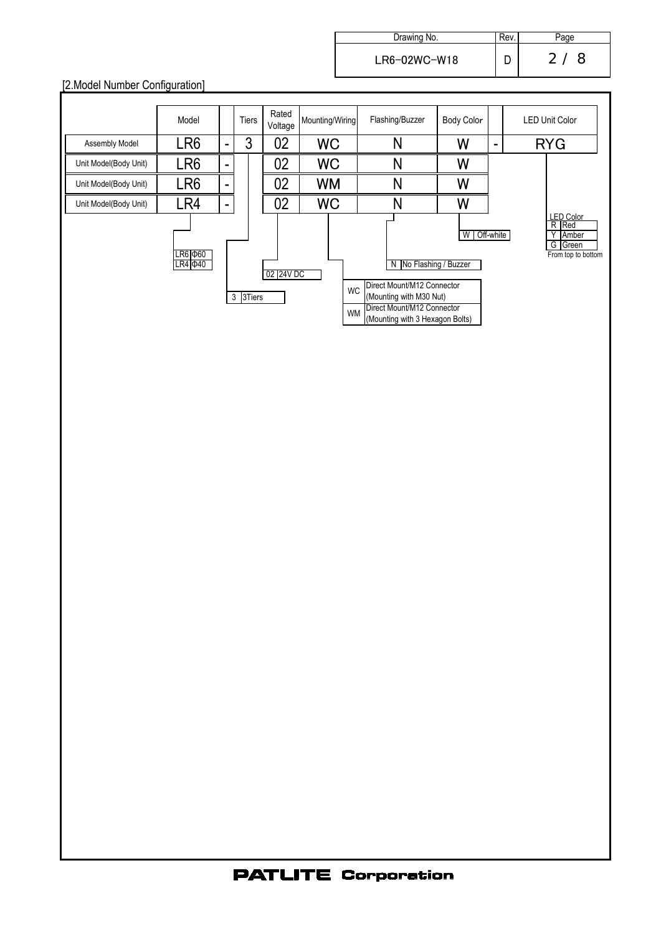| Drawing No.    | Rev. | Page     |
|----------------|------|----------|
| $LR6-02WC-W18$ |      | 2/<br>-8 |

# [2.Model Number Configuration]

|                                                   | Model |   | Tiers | Rated<br>Voltage | Mounting/Wiring | Flashing/Buzzer                                                                                                                                                              | Body Color |                          | <b>LED Unit Color</b>                                                    |
|---------------------------------------------------|-------|---|-------|------------------|-----------------|------------------------------------------------------------------------------------------------------------------------------------------------------------------------------|------------|--------------------------|--------------------------------------------------------------------------|
| Assembly Model                                    | LR6   | - | 3     | 02               | <b>WC</b>       | N                                                                                                                                                                            | W          | $\overline{\phantom{0}}$ | <b>RYG</b>                                                               |
| Unit Model(Body Unit)                             | LR6   | - |       | 02               | <b>WC</b>       | N                                                                                                                                                                            | W          |                          |                                                                          |
| Unit Model(Body Unit)                             | LR6   | - |       | 02               | <b>WM</b>       | N                                                                                                                                                                            | W          |                          |                                                                          |
| Unit Model(Body Unit)                             | LR4   | - |       | 02               | <b>WC</b>       | N                                                                                                                                                                            | W          |                          |                                                                          |
| LR6 Φ60<br>$LR4 \Phi40$<br>02 24V DC<br>3 3 Tiers |       |   |       |                  |                 | N   No Flashing / Buzzer<br>Direct Mount/M12 Connector<br><b>WC</b><br>(Mounting with M30 Nut)<br>Direct Mount/M12 Connector<br><b>WM</b><br>(Mounting with 3 Hexagon Bolts) | W          | Off-white                | <b>LED Color</b><br>R Red<br>Υ<br>Amber<br>G Green<br>From top to bottom |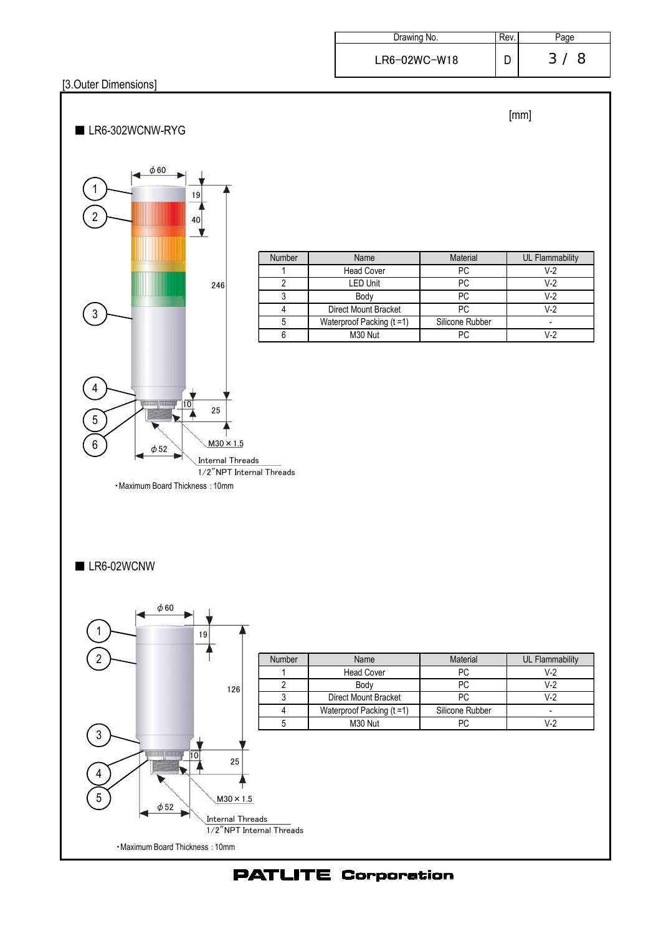| Drawing No.    | Rev. |     |
|----------------|------|-----|
| $LR6-02WC-W18$ |      | -3- |

#### [3.Outer Dimensions]

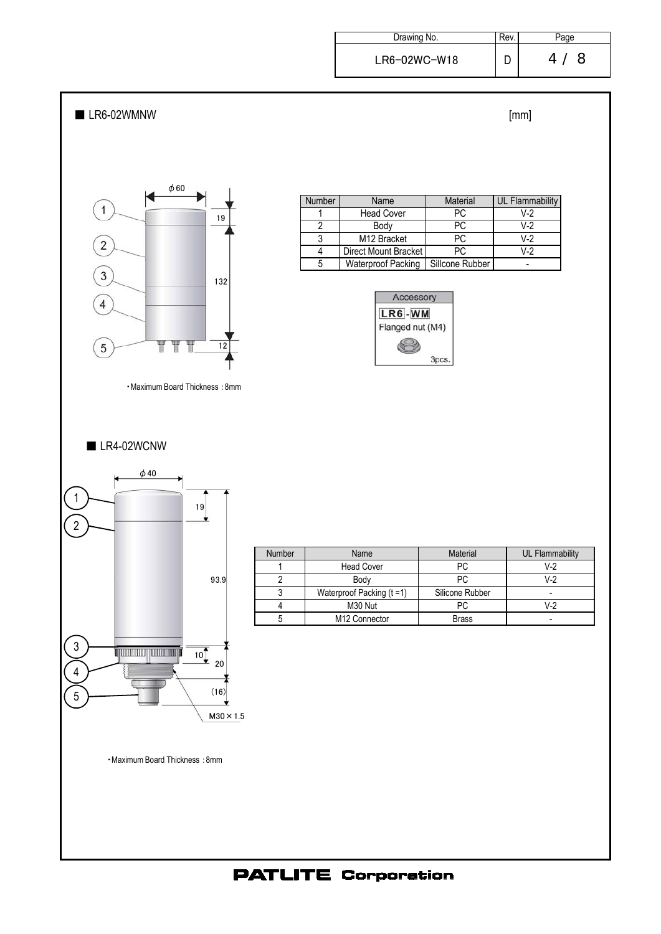| Drawing No.    | Rev. | 'age   |
|----------------|------|--------|
| $LR6-02WC-W18$ |      | 8<br>4 |

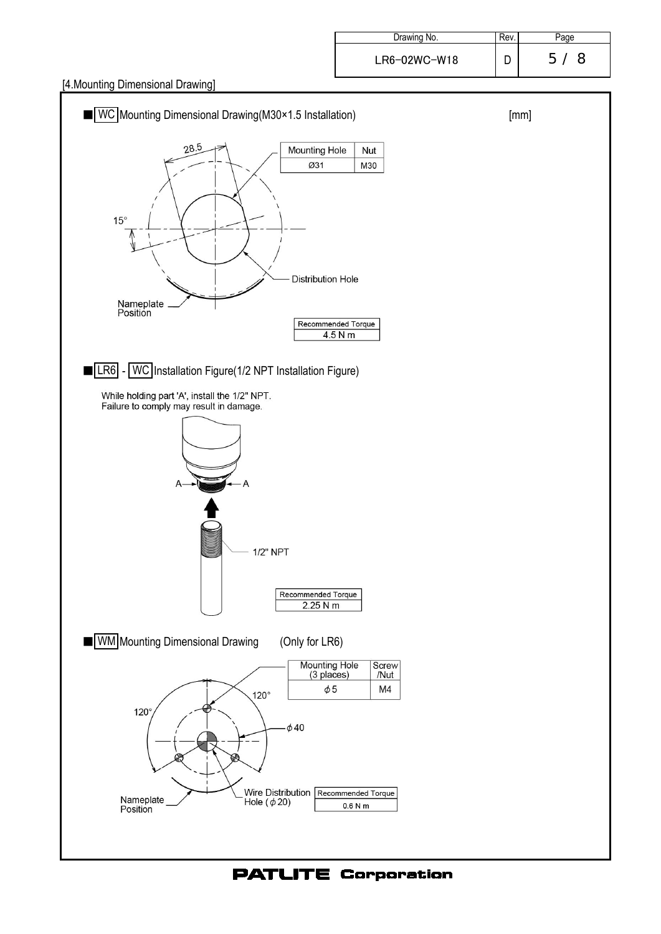[4.Mounting Dimensional Drawing]

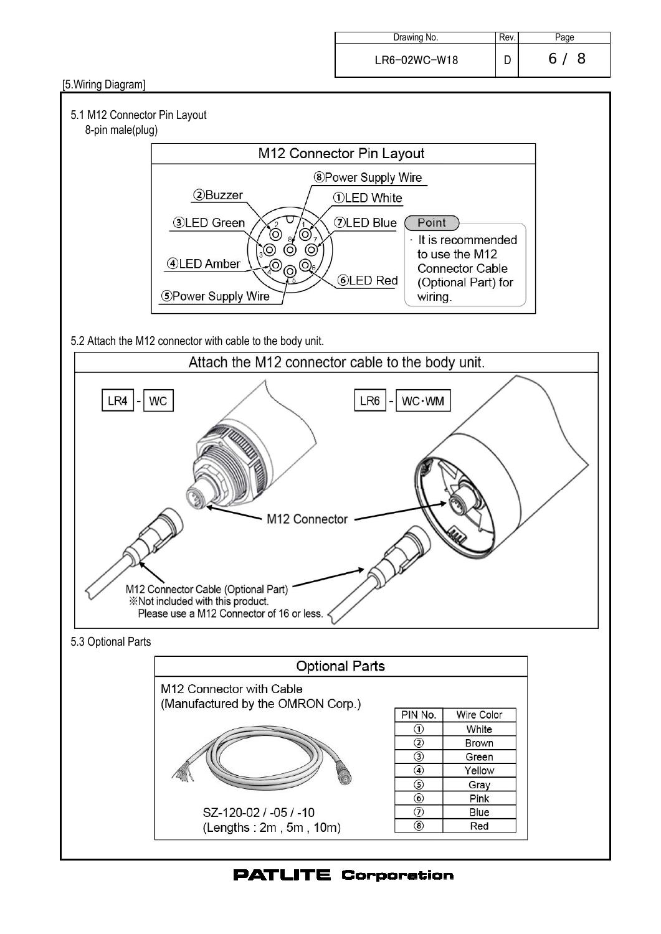| Drawing No.    | Rev. | 'age    |
|----------------|------|---------|
| $LR6-02WC-W18$ |      | 6/<br>8 |

[5.Wiring Diagram]



## 8-pin male(plug)



5.2 Attach the M12 connector with cable to the body unit.

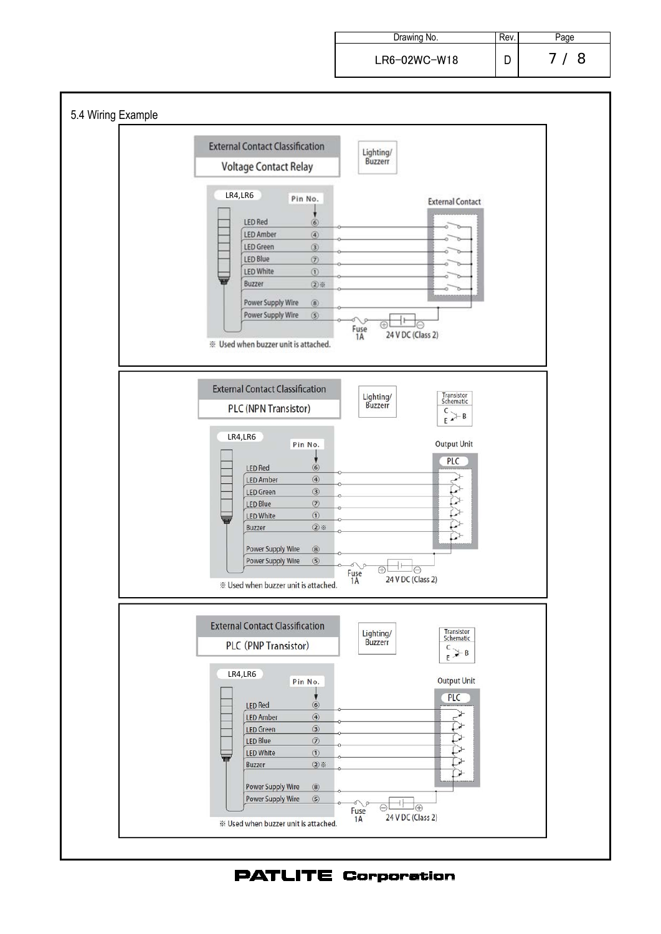Drawing No. **Rev.** Rev. Page LR6-02WC-W18 D 7 / 8